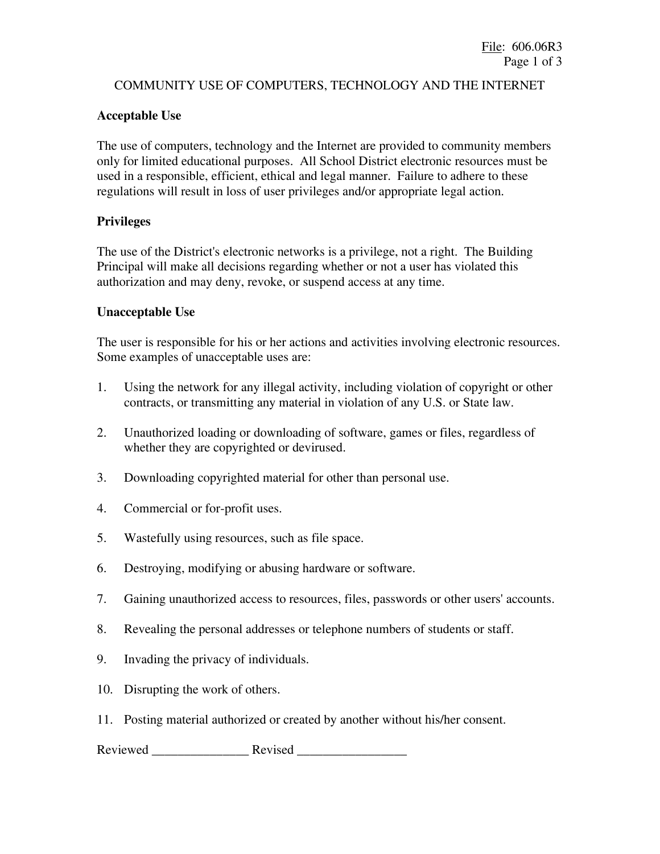# COMMUNITY USE OF COMPUTERS, TECHNOLOGY AND THE INTERNET

### **Acceptable Use**

The use of computers, technology and the Internet are provided to community members only for limited educational purposes. All School District electronic resources must be used in a responsible, efficient, ethical and legal manner. Failure to adhere to these regulations will result in loss of user privileges and/or appropriate legal action.

#### **Privileges**

The use of the District's electronic networks is a privilege, not a right. The Building Principal will make all decisions regarding whether or not a user has violated this authorization and may deny, revoke, or suspend access at any time.

### **Unacceptable Use**

The user is responsible for his or her actions and activities involving electronic resources. Some examples of unacceptable uses are:

- 1. Using the network for any illegal activity, including violation of copyright or other contracts, or transmitting any material in violation of any U.S. or State law.
- 2. Unauthorized loading or downloading of software, games or files, regardless of whether they are copyrighted or devirused.
- 3. Downloading copyrighted material for other than personal use.
- 4. Commercial or for-profit uses.
- 5. Wastefully using resources, such as file space.
- 6. Destroying, modifying or abusing hardware or software.
- 7. Gaining unauthorized access to resources, files, passwords or other users' accounts.
- 8. Revealing the personal addresses or telephone numbers of students or staff.
- 9. Invading the privacy of individuals.
- 10. Disrupting the work of others.
- 11. Posting material authorized or created by another without his/her consent.

Reviewed Revised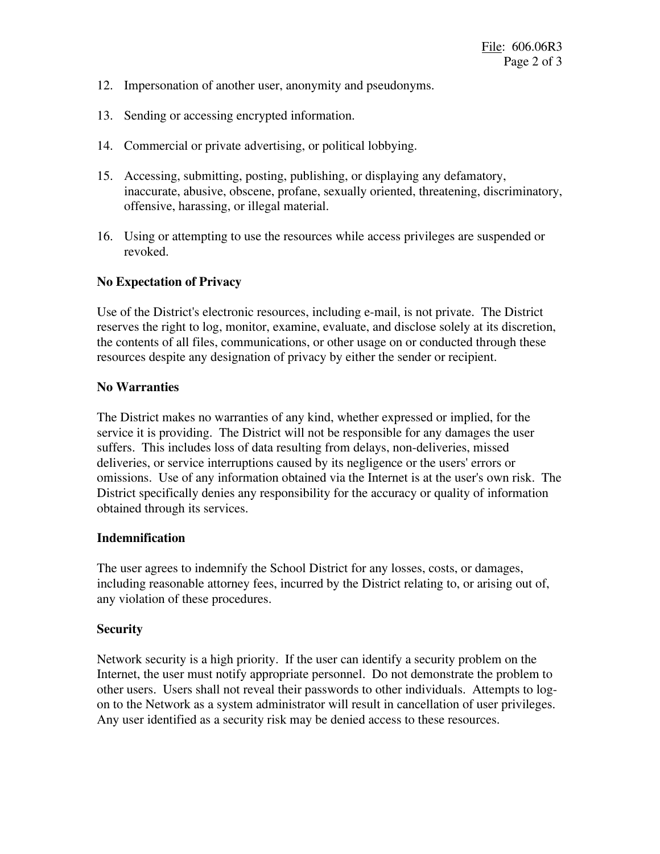- 12. Impersonation of another user, anonymity and pseudonyms.
- 13. Sending or accessing encrypted information.
- 14. Commercial or private advertising, or political lobbying.
- 15. Accessing, submitting, posting, publishing, or displaying any defamatory, inaccurate, abusive, obscene, profane, sexually oriented, threatening, discriminatory, offensive, harassing, or illegal material.
- 16. Using or attempting to use the resources while access privileges are suspended or revoked.

### **No Expectation of Privacy**

Use of the District's electronic resources, including e-mail, is not private. The District reserves the right to log, monitor, examine, evaluate, and disclose solely at its discretion, the contents of all files, communications, or other usage on or conducted through these resources despite any designation of privacy by either the sender or recipient.

### **No Warranties**

The District makes no warranties of any kind, whether expressed or implied, for the service it is providing. The District will not be responsible for any damages the user suffers. This includes loss of data resulting from delays, non-deliveries, missed deliveries, or service interruptions caused by its negligence or the users' errors or omissions. Use of any information obtained via the Internet is at the user's own risk. The District specifically denies any responsibility for the accuracy or quality of information obtained through its services.

#### **Indemnification**

The user agrees to indemnify the School District for any losses, costs, or damages, including reasonable attorney fees, incurred by the District relating to, or arising out of, any violation of these procedures.

#### **Security**

Network security is a high priority. If the user can identify a security problem on the Internet, the user must notify appropriate personnel. Do not demonstrate the problem to other users. Users shall not reveal their passwords to other individuals. Attempts to logon to the Network as a system administrator will result in cancellation of user privileges. Any user identified as a security risk may be denied access to these resources.